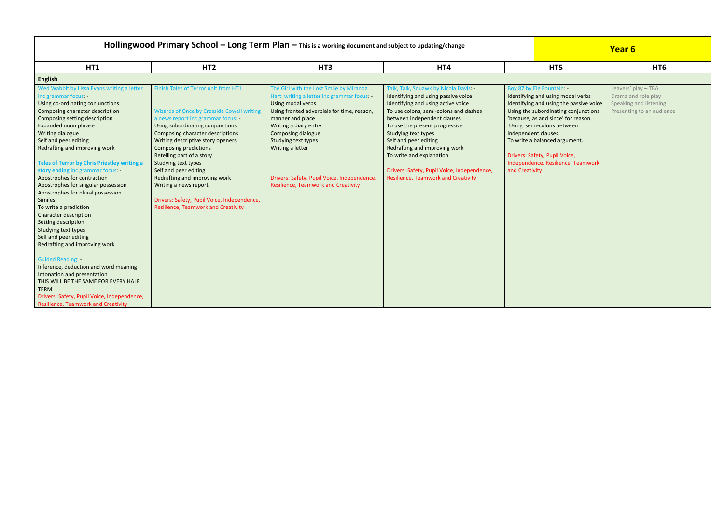| Hollingwood Primary School - Long Term Plan - This is a working document and subject to updating/change                                                                                                                                                                                                                                                                                                                                                                                                                                                                                                                                                                                                                                                                                                                                                                                                          |                                                                                                                                                                                                                                                                                                                                                                                                                                                                                                                |                                                                                                                                                                                                                                                                                                                                                                      |                                                                                                                                                                                                                                                                                                                                                                                                                                        |                                                                                                                                                                                                                                                                                                                                                                       | Year 6                                                                                            |
|------------------------------------------------------------------------------------------------------------------------------------------------------------------------------------------------------------------------------------------------------------------------------------------------------------------------------------------------------------------------------------------------------------------------------------------------------------------------------------------------------------------------------------------------------------------------------------------------------------------------------------------------------------------------------------------------------------------------------------------------------------------------------------------------------------------------------------------------------------------------------------------------------------------|----------------------------------------------------------------------------------------------------------------------------------------------------------------------------------------------------------------------------------------------------------------------------------------------------------------------------------------------------------------------------------------------------------------------------------------------------------------------------------------------------------------|----------------------------------------------------------------------------------------------------------------------------------------------------------------------------------------------------------------------------------------------------------------------------------------------------------------------------------------------------------------------|----------------------------------------------------------------------------------------------------------------------------------------------------------------------------------------------------------------------------------------------------------------------------------------------------------------------------------------------------------------------------------------------------------------------------------------|-----------------------------------------------------------------------------------------------------------------------------------------------------------------------------------------------------------------------------------------------------------------------------------------------------------------------------------------------------------------------|---------------------------------------------------------------------------------------------------|
| <b>HT1</b>                                                                                                                                                                                                                                                                                                                                                                                                                                                                                                                                                                                                                                                                                                                                                                                                                                                                                                       | HT <sub>2</sub>                                                                                                                                                                                                                                                                                                                                                                                                                                                                                                | HT <sub>3</sub>                                                                                                                                                                                                                                                                                                                                                      | HT4                                                                                                                                                                                                                                                                                                                                                                                                                                    | HT5                                                                                                                                                                                                                                                                                                                                                                   | HT <sub>6</sub>                                                                                   |
| <b>English</b>                                                                                                                                                                                                                                                                                                                                                                                                                                                                                                                                                                                                                                                                                                                                                                                                                                                                                                   |                                                                                                                                                                                                                                                                                                                                                                                                                                                                                                                |                                                                                                                                                                                                                                                                                                                                                                      |                                                                                                                                                                                                                                                                                                                                                                                                                                        |                                                                                                                                                                                                                                                                                                                                                                       |                                                                                                   |
| Wed Wabbit by Lissa Evans writing a letter<br>inc grammar focus: -<br>Using co-ordinating conjunctions<br>Composing character description<br>Composing setting description<br>Expanded noun phrase<br>Writing dialogue<br>Self and peer editing<br>Redrafting and improving work<br><b>Tales of Terror by Chris Priestley writing a</b><br>story ending inc grammar focus:<br>Apostrophes for contraction<br>Apostrophes for singular possession<br>Apostrophes for plural possession<br>Similes<br>To write a prediction<br>Character description<br>Setting description<br>Studying text types<br>Self and peer editing<br>Redrafting and improving work<br><b>Guided Reading:</b><br>Inference, deduction and word meaning<br>Intonation and presentation<br>THIS WILL BE THE SAME FOR EVERY HALF<br><b>TERM</b><br>Drivers: Safety, Pupil Voice, Independence,<br><b>Resilience, Teamwork and Creativity</b> | Finish Tales of Terror unit from HT1<br><b>Wizards of Once by Cressida Cowell writing</b><br>a news report inc grammar focus:<br>Using subordinating conjunctions<br>Composing character descriptions<br>Writing descriptive story openers<br><b>Composing predictions</b><br>Retelling part of a story<br>Studying text types<br>Self and peer editing<br>Redrafting and improving work<br>Writing a news report<br>Drivers: Safety, Pupil Voice, Independence,<br><b>Resilience, Teamwork and Creativity</b> | The Girl with the Lost Smile by Miranda<br>Hartl writing a letter inc grammar focus: -<br>Using modal verbs<br>Using fronted adverbials for time, reason,<br>manner and place<br>Writing a diary entry<br>Composing dialogue<br>Studying text types<br>Writing a letter<br>Drivers: Safety, Pupil Voice, Independence,<br><b>Resilience, Teamwork and Creativity</b> | Talk, Talk, Squawk by Nicola Davis: -<br>Identifying and using passive voice<br>Identifying and using active voice<br>To use colons, semi-colons and dashes<br>between independent clauses<br>To use the present progressive<br>Studying text types<br>Self and peer editing<br>Redrafting and improving work<br>To write and explanation<br>Drivers: Safety, Pupil Voice, Independence,<br><b>Resilience, Teamwork and Creativity</b> | Boy 87 by Ele Fountain:<br>Identifying and using modal verbs<br>Identifying and using the passive voice<br>Using the subordinating conjunctions<br>'because, as and since' for reason.<br>Using semi-colons between<br>independent clauses.<br>To write a balanced argument.<br>Drivers: Safety, Pupil Voice,<br>Independence, Resilience, Teamwork<br>and Creativity | Leavers' play - TBA<br>Drama and role play<br>Speaking and listening<br>Presenting to an audience |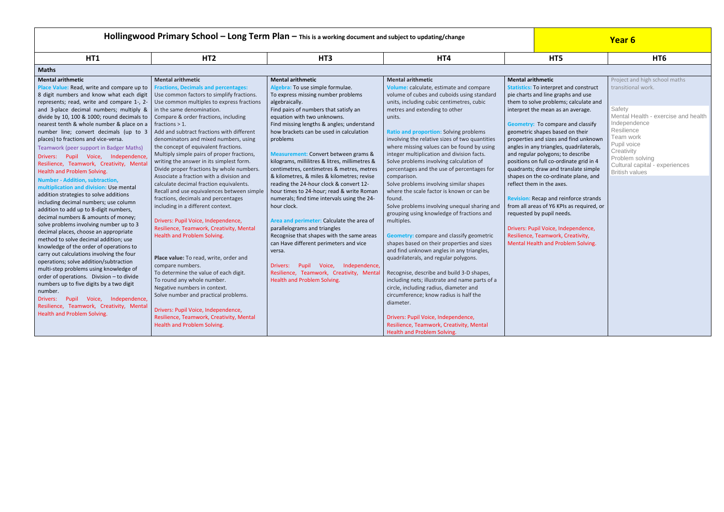# **Hollingwood Primary School — Long Term Plan —** This is a working document and subject to updating/change **Alternative Concernsive Concernsive Concernsive Concernsive Concernsive Concernsive Concernsive Concernsive Concern**

| HT1                                                                                                                                                                                                                                                                                                                                                                                                                                                                                                                                                                                                                                                                                                                                                                                                                                                                                                                                                                                                                                                                                                                                                                                                                                                                                                                                               | HT <sub>2</sub>                                                                                                                                                                                                                                                                                                                                                                                                                                                                                                                                                                                                                                                                                                                                                                                                                                                                                                                                                                                                                                                                                                                                                                                    | HT <sub>3</sub>                                                                                                                                                                                                                                                                                                                                                                                                                                                                                                                                                                                                                                                                                                                                                                                                                                                                                                                                      | HT4                                                                                                                                                                                                                                                                                                                                                                                                                                                                                                                                                                                                                                                                                                                                                                                                                                                                                                                                                                                                                                                                                                                                                                                                                             | HT5                                                                                                                                                                                                                                                                                                                                                                                                                                                                                                                                                                                                                                                                                                                                                                                                        | HT <sub>6</sub>                                                                                                                                                                                                              |
|---------------------------------------------------------------------------------------------------------------------------------------------------------------------------------------------------------------------------------------------------------------------------------------------------------------------------------------------------------------------------------------------------------------------------------------------------------------------------------------------------------------------------------------------------------------------------------------------------------------------------------------------------------------------------------------------------------------------------------------------------------------------------------------------------------------------------------------------------------------------------------------------------------------------------------------------------------------------------------------------------------------------------------------------------------------------------------------------------------------------------------------------------------------------------------------------------------------------------------------------------------------------------------------------------------------------------------------------------|----------------------------------------------------------------------------------------------------------------------------------------------------------------------------------------------------------------------------------------------------------------------------------------------------------------------------------------------------------------------------------------------------------------------------------------------------------------------------------------------------------------------------------------------------------------------------------------------------------------------------------------------------------------------------------------------------------------------------------------------------------------------------------------------------------------------------------------------------------------------------------------------------------------------------------------------------------------------------------------------------------------------------------------------------------------------------------------------------------------------------------------------------------------------------------------------------|------------------------------------------------------------------------------------------------------------------------------------------------------------------------------------------------------------------------------------------------------------------------------------------------------------------------------------------------------------------------------------------------------------------------------------------------------------------------------------------------------------------------------------------------------------------------------------------------------------------------------------------------------------------------------------------------------------------------------------------------------------------------------------------------------------------------------------------------------------------------------------------------------------------------------------------------------|---------------------------------------------------------------------------------------------------------------------------------------------------------------------------------------------------------------------------------------------------------------------------------------------------------------------------------------------------------------------------------------------------------------------------------------------------------------------------------------------------------------------------------------------------------------------------------------------------------------------------------------------------------------------------------------------------------------------------------------------------------------------------------------------------------------------------------------------------------------------------------------------------------------------------------------------------------------------------------------------------------------------------------------------------------------------------------------------------------------------------------------------------------------------------------------------------------------------------------|------------------------------------------------------------------------------------------------------------------------------------------------------------------------------------------------------------------------------------------------------------------------------------------------------------------------------------------------------------------------------------------------------------------------------------------------------------------------------------------------------------------------------------------------------------------------------------------------------------------------------------------------------------------------------------------------------------------------------------------------------------------------------------------------------------|------------------------------------------------------------------------------------------------------------------------------------------------------------------------------------------------------------------------------|
| <b>Maths</b>                                                                                                                                                                                                                                                                                                                                                                                                                                                                                                                                                                                                                                                                                                                                                                                                                                                                                                                                                                                                                                                                                                                                                                                                                                                                                                                                      |                                                                                                                                                                                                                                                                                                                                                                                                                                                                                                                                                                                                                                                                                                                                                                                                                                                                                                                                                                                                                                                                                                                                                                                                    |                                                                                                                                                                                                                                                                                                                                                                                                                                                                                                                                                                                                                                                                                                                                                                                                                                                                                                                                                      |                                                                                                                                                                                                                                                                                                                                                                                                                                                                                                                                                                                                                                                                                                                                                                                                                                                                                                                                                                                                                                                                                                                                                                                                                                 |                                                                                                                                                                                                                                                                                                                                                                                                                                                                                                                                                                                                                                                                                                                                                                                                            |                                                                                                                                                                                                                              |
| <b>Mental arithmetic</b><br>Place Value: Read, write and compare up to<br>8 digit numbers and know what each digit<br>represents; read, write and compare 1-, 2-<br>and 3-place decimal numbers; multiply &<br>divide by 10, 100 & 1000; round decimals to<br>nearest tenth & whole number & place on a<br>number line; convert decimals (up to 3<br>places) to fractions and vice-versa.<br>Teamwork (peer support in Badger Maths)<br>Drivers: Pupil Voice, Independence,<br>Resilience, Teamwork, Creativity, Mental<br>Health and Problem Solving.<br><b>Number - Addition, subtraction,</b><br>multiplication and division: Use mental<br>addition strategies to solve additions<br>including decimal numbers; use column<br>addition to add up to 8-digit numbers,<br>decimal numbers & amounts of money;<br>solve problems involving number up to 3<br>decimal places, choose an appropriate<br>method to solve decimal addition; use<br>knowledge of the order of operations to<br>carry out calculations involving the four<br>operations; solve addition/subtraction<br>multi-step problems using knowledge of<br>order of operations. Division - to divide<br>numbers up to five digits by a two digit<br>number.<br>Pupil Voice, Independence,<br>Drivers:<br>Resilience, Teamwork, Creativity, Mental<br>Health and Problem Solving. | <b>Mental arithmetic</b><br><b>Fractions, Decimals and percentages:</b><br>Use common factors to simplify fractions.<br>Use common multiples to express fractions<br>in the same denomination.<br>Compare & order fractions, including<br>fractions $> 1$ .<br>Add and subtract fractions with different<br>denominators and mixed numbers, using<br>the concept of equivalent fractions.<br>Multiply simple pairs of proper fractions,<br>writing the answer in its simplest form.<br>Divide proper fractions by whole numbers.<br>Associate a fraction with a division and<br>calculate decimal fraction equivalents.<br>Recall and use equivalences between simple<br>fractions, decimals and percentages<br>including in a different context.<br>Drivers: Pupil Voice, Independence,<br>Resilience, Teamwork, Creativity, Mental<br>Health and Problem Solving.<br>Place value: To read, write, order and<br>compare numbers.<br>To determine the value of each digit.<br>To round any whole number.<br>Negative numbers in context.<br>Solve number and practical problems.<br>Drivers: Pupil Voice, Independence,<br>Resilience, Teamwork, Creativity, Mental<br>Health and Problem Solving. | <b>Mental arithmetic</b><br>Algebra: To use simple formulae.<br>To express missing number problems<br>algebraically.<br>Find pairs of numbers that satisfy an<br>equation with two unknowns.<br>Find missing lengths & angles; understand<br>how brackets can be used in calculation<br>problems<br>Measurement: Convert between grams &<br>kilograms, millilitres & litres, millimetres &<br>centimetres, centimetres & metres, metres<br>& kilometres, & miles & kilometres; revise<br>reading the 24-hour clock & convert 12-<br>hour times to 24-hour; read & write Roman<br>numerals; find time intervals using the 24-<br>hour clock.<br>Area and perimeter: Calculate the area of<br>parallelograms and triangles<br>Recognise that shapes with the same areas<br>can Have different perimeters and vice<br>versa.<br>Independence,<br>Pupil<br>Voice,<br>Drivers:<br>Resilience, Teamwork, Creativity, Mental<br>Health and Problem Solving. | <b>Mental arithmetic</b><br>Volume: calculate, estimate and compare<br>volume of cubes and cuboids using standard<br>units, including cubic centimetres, cubic<br>metres and extending to other<br>units.<br>Ratio and proportion: Solving problems<br>involving the relative sizes of two quantities<br>where missing values can be found by using<br>integer multiplication and division facts.<br>Solve problems involving calculation of<br>percentages and the use of percentages for<br>comparison.<br>Solve problems involving similar shapes<br>where the scale factor is known or can be<br>found.<br>Solve problems involving unequal sharing and<br>grouping using knowledge of fractions and<br>multiples.<br><b>Geometry:</b> compare and classify geometric<br>shapes based on their properties and sizes<br>and find unknown angles in any triangles,<br>quadrilaterals, and regular polygons.<br>Recognise, describe and build 3-D shapes,<br>including nets; illustrate and name parts of a<br>circle, including radius, diameter and<br>circumference; know radius is half the<br>diameter.<br>Drivers: Pupil Voice, Independence,<br>Resilience, Teamwork, Creativity, Mental<br>Health and Problem Solving. | <b>Mental arithmetic</b><br><b>Statistics: To interpret and construct</b><br>pie charts and line graphs and use<br>them to solve problems; calculate and<br>interpret the mean as an average.<br><b>Geometry:</b> To compare and classify<br>geometric shapes based on their<br>properties and sizes and find unknown<br>angles in any triangles, quadrilaterals,<br>and regular polygons; to describe<br>positions on full co-ordinate grid in 4<br>quadrants; draw and translate simple<br>shapes on the co-ordinate plane, and<br>reflect them in the axes.<br><b>Revision:</b> Recap and reinforce strands<br>from all areas of Y6 KPIs as required, or<br>requested by pupil needs.<br>Drivers: Pupil Voice, Independence,<br>Resilience, Teamwork, Creativity,<br>Mental Health and Problem Solving. | Project and high schoo<br>transitional work.<br>Safety<br>Mental Health - exer<br>Independence<br>Resilience<br>Team work<br>Pupil voice<br>Creativity<br>Problem solving<br>Cultural capital - exp<br><b>British values</b> |

| піэ                                                                                                                                                                                                                                                                                                                                                           | n i o                                                                                                                                                                                     |
|---------------------------------------------------------------------------------------------------------------------------------------------------------------------------------------------------------------------------------------------------------------------------------------------------------------------------------------------------------------|-------------------------------------------------------------------------------------------------------------------------------------------------------------------------------------------|
|                                                                                                                                                                                                                                                                                                                                                               |                                                                                                                                                                                           |
| <b>Mental arithmetic</b><br><b>Statistics:</b> To interpret and construct<br>pie charts and line graphs and use<br>them to solve problems; calculate and<br>interpret the mean as an average.                                                                                                                                                                 | Project and high school maths<br>transitional work.<br>Safety                                                                                                                             |
| <b>Geometry:</b> To compare and classify<br>geometric shapes based on their<br>properties and sizes and find unknown<br>angles in any triangles, quadrilaterals,<br>and regular polygons; to describe<br>positions on full co-ordinate grid in 4<br>quadrants; draw and translate simple<br>shapes on the co-ordinate plane, and<br>reflect them in the axes. | Mental Health - exercise and health<br>Independence<br>Resilience<br>Team work<br>Pupil voice<br>Creativity<br>Problem solving<br>Cultural capital - experiences<br><b>British values</b> |
| <b>Revision:</b> Recap and reinforce strands<br>from all areas of Y6 KPIs as required, or<br>requested by pupil needs.<br>Drivers: Pupil Voice, Independence,<br>Resilience, Teamwork, Creativity,<br>Mental Health and Problem Solving.                                                                                                                      |                                                                                                                                                                                           |
|                                                                                                                                                                                                                                                                                                                                                               |                                                                                                                                                                                           |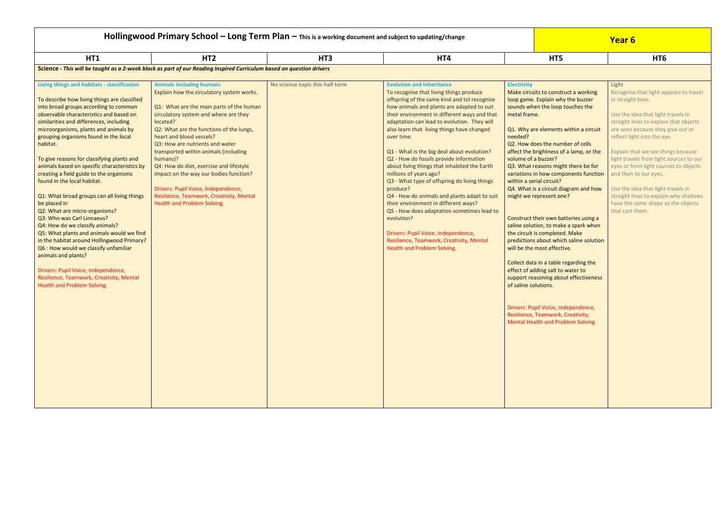| Hollingwood Primary School $-$ Long Term Plan $-$ This is a working document and subject to updating/change                                                                                                                                                                                                                                                                                                                                                                                                                                                                                                                                                                                                                                                                                                                                                                                                                                    |                                                                                                                                                                                                                                                                                                                                                                                                                                                                                                                                                      |                                 |                                                                                                                                                                                                                                                                                                                                                                                                                                                                                                                                                                                                                                                                                                                                                                                                                                           |                                                                                                                          |                                                                                                                                                                                                                                                                                                                                                                                                                                                                                                                                                                                                                                                                                                                                                                                                                                  | Year 6                                                                                                                                                                                                                                                                                                                                                                                                                                                                                                               |
|------------------------------------------------------------------------------------------------------------------------------------------------------------------------------------------------------------------------------------------------------------------------------------------------------------------------------------------------------------------------------------------------------------------------------------------------------------------------------------------------------------------------------------------------------------------------------------------------------------------------------------------------------------------------------------------------------------------------------------------------------------------------------------------------------------------------------------------------------------------------------------------------------------------------------------------------|------------------------------------------------------------------------------------------------------------------------------------------------------------------------------------------------------------------------------------------------------------------------------------------------------------------------------------------------------------------------------------------------------------------------------------------------------------------------------------------------------------------------------------------------------|---------------------------------|-------------------------------------------------------------------------------------------------------------------------------------------------------------------------------------------------------------------------------------------------------------------------------------------------------------------------------------------------------------------------------------------------------------------------------------------------------------------------------------------------------------------------------------------------------------------------------------------------------------------------------------------------------------------------------------------------------------------------------------------------------------------------------------------------------------------------------------------|--------------------------------------------------------------------------------------------------------------------------|----------------------------------------------------------------------------------------------------------------------------------------------------------------------------------------------------------------------------------------------------------------------------------------------------------------------------------------------------------------------------------------------------------------------------------------------------------------------------------------------------------------------------------------------------------------------------------------------------------------------------------------------------------------------------------------------------------------------------------------------------------------------------------------------------------------------------------|----------------------------------------------------------------------------------------------------------------------------------------------------------------------------------------------------------------------------------------------------------------------------------------------------------------------------------------------------------------------------------------------------------------------------------------------------------------------------------------------------------------------|
| <b>HT1</b>                                                                                                                                                                                                                                                                                                                                                                                                                                                                                                                                                                                                                                                                                                                                                                                                                                                                                                                                     | HT <sub>2</sub>                                                                                                                                                                                                                                                                                                                                                                                                                                                                                                                                      | HT <sub>3</sub>                 | HT4                                                                                                                                                                                                                                                                                                                                                                                                                                                                                                                                                                                                                                                                                                                                                                                                                                       |                                                                                                                          | HT5                                                                                                                                                                                                                                                                                                                                                                                                                                                                                                                                                                                                                                                                                                                                                                                                                              | HT6                                                                                                                                                                                                                                                                                                                                                                                                                                                                                                                  |
|                                                                                                                                                                                                                                                                                                                                                                                                                                                                                                                                                                                                                                                                                                                                                                                                                                                                                                                                                | Science - This will be taught as a 2-week block as part of our Reading Inspired Curriculum based on question drivers                                                                                                                                                                                                                                                                                                                                                                                                                                 |                                 |                                                                                                                                                                                                                                                                                                                                                                                                                                                                                                                                                                                                                                                                                                                                                                                                                                           |                                                                                                                          |                                                                                                                                                                                                                                                                                                                                                                                                                                                                                                                                                                                                                                                                                                                                                                                                                                  |                                                                                                                                                                                                                                                                                                                                                                                                                                                                                                                      |
| Living things and habitats - classification<br>To describe how living things are classified<br>into broad groups according to common<br>observable characteristics and based on<br>similarities and differences, including<br>microorganisms, plants and animals by<br>grouping organisms found in the local<br>habitat.<br>To give reasons for classifying plants and<br>animals based on specific characteristics by<br>creating a field guide to the organisms<br>found in the local habitat.<br>Q1: What broad groups can all living things<br>be placed in<br>Q2: What are micro-organisms?<br>Q3: Who was Carl Linnaeus?<br>Q4: How do we classify animals?<br>Q5: What plants and animals would we find<br>in the habitat around Hollingwood Primary?<br>Q6 : How would we classify unfamiliar<br>animals and plants?<br>Drivers: Pupil Voice, Independence,<br>Resilience, Teamwork, Creativity, Mental<br>Health and Problem Solving. | <b>Animals including humans</b><br>Explain how the circulatory system works.<br>Q1: What are the main parts of the human<br>circulatory system and where are they<br>located?<br>Q2: What are the functions of the lungs,<br>heart and blood vessels?<br>Q3: How are nutrients and water<br>transported within animals (including<br>humans)?<br>Q4: How do diet, exercise and lifestyle<br>impact on the way our bodies function?<br>Drivers: Pupil Voice, Independence,<br>Resilience, Teamwork, Creativity, Mental<br>Health and Problem Solving. | No science topic this half term | <b>Evolution and inheritance</b><br>To recognise that living things produce<br>offspring of the same kind and tol recognise<br>how animals and plants are adapted to suit<br>their environment in different ways and that<br>adaptation can lead to evolution. They will<br>also learn that living things have changed<br>over time.<br>Q1 - What is the big deal about evolution?<br>Q2 - How do fossils provide information<br>about living things that inhabited the Earth<br>millions of years ago?<br>Q3 - What type of offspring do living things<br>produce?<br>Q4 - How do animals and plants adapt to suit<br>their environment in different ways?<br>Q5 - How does adaptation sometimes lead to<br>evolution?<br>Drivers: Pupil Voice, Independence,<br>Resilience, Teamwork, Creativity, Mental<br>Health and Problem Solving. | <b>Electricity</b><br>metal frame.<br>needed?<br>volume of a buzzer?<br>within a serial circuit?<br>of saline solutions. | Make circuits to construct a working<br>loop game. Explain why the buzzer<br>sounds when the loop touches the<br>Q1. Why are elements within a circuit<br>Q2. How does the number of cells<br>affect the brightness of a lamp, or the<br>Q3. What reasons might there be for<br>variations in how components function<br>Q4. What is a circuit diagram and how<br>might we represent one?<br>Construct their own batteries using a<br>saline solution, to make a spark when<br>the circuit is completed. Make<br>predictions about which saline solution<br>will be the most effective.<br>Collect data in a table regarding the<br>effect of adding salt to water to<br>support reasoning about effectiveness<br>Drivers: Pupil Voice, Independence,<br>Resilience, Teamwork, Creativity,<br>Mental Health and Problem Solving. | Light<br>Recognise that light appears to travel<br>in straight lines.<br>Use the idea that light travels in<br>straight lines to explain that objects<br>are seen because they give out or<br>reflect light into the eye.<br>Explain that we see things because<br>light travels from light sources to our<br>eyes or from light sources to objects<br>and then to our eyes.<br>Use the idea that light travels in<br>straight lines to explain why shadows<br>have the same shape as the objects<br>that cast them. |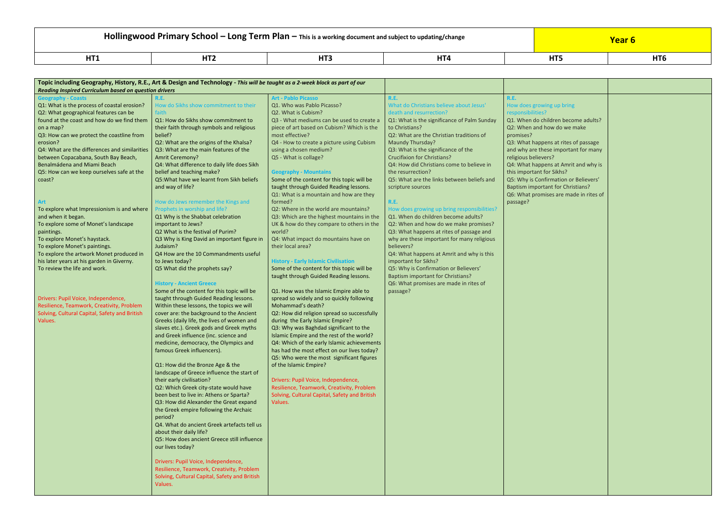# **Hollingwood Primary School – Long Term Plan –** This is a working document and subject to updating/change **The Congless of the Congless of the Congless of the Congless of the Vear 6**

|   |   | . |  |
|---|---|---|--|
| . | . |   |  |

| <b>Reading Inspired Curriculum based on question drivers</b>                                                                                                                                                                                                                                                                                                                                                                                                                                                                                                                                                                                                                                                                                                                                                                                                                                           | Topic including Geography, History, R.E., Art & Design and Technology - This will be taught as a 2-week block as part of our                                                                                                                                                                                                                                                                                                                                                                                                                                                                                                                                                                                                                                                                                                                                                                                                                                                                                                                                                                                                                                                                                                                                                                                                                                                                                                                                                                                                                                                                                                                                                                                                                                        |                                                                                                                                                                                                                                                                                                                                                                                                                                                                                                                                                                                                                                                                                                                                                                                                                                                                                                                                                                                                                                                                                                                                                                                                                                                                                                                                                                                                                                          |                                                                                                                                                                                                                                                                                                                                                                                                                                                                                                                                                                                                                                                                                                                                                                                                                                                                                                     |                                                                                                                                                                                                                                                                                                                                                                                                                                     |
|--------------------------------------------------------------------------------------------------------------------------------------------------------------------------------------------------------------------------------------------------------------------------------------------------------------------------------------------------------------------------------------------------------------------------------------------------------------------------------------------------------------------------------------------------------------------------------------------------------------------------------------------------------------------------------------------------------------------------------------------------------------------------------------------------------------------------------------------------------------------------------------------------------|---------------------------------------------------------------------------------------------------------------------------------------------------------------------------------------------------------------------------------------------------------------------------------------------------------------------------------------------------------------------------------------------------------------------------------------------------------------------------------------------------------------------------------------------------------------------------------------------------------------------------------------------------------------------------------------------------------------------------------------------------------------------------------------------------------------------------------------------------------------------------------------------------------------------------------------------------------------------------------------------------------------------------------------------------------------------------------------------------------------------------------------------------------------------------------------------------------------------------------------------------------------------------------------------------------------------------------------------------------------------------------------------------------------------------------------------------------------------------------------------------------------------------------------------------------------------------------------------------------------------------------------------------------------------------------------------------------------------------------------------------------------------|------------------------------------------------------------------------------------------------------------------------------------------------------------------------------------------------------------------------------------------------------------------------------------------------------------------------------------------------------------------------------------------------------------------------------------------------------------------------------------------------------------------------------------------------------------------------------------------------------------------------------------------------------------------------------------------------------------------------------------------------------------------------------------------------------------------------------------------------------------------------------------------------------------------------------------------------------------------------------------------------------------------------------------------------------------------------------------------------------------------------------------------------------------------------------------------------------------------------------------------------------------------------------------------------------------------------------------------------------------------------------------------------------------------------------------------|-----------------------------------------------------------------------------------------------------------------------------------------------------------------------------------------------------------------------------------------------------------------------------------------------------------------------------------------------------------------------------------------------------------------------------------------------------------------------------------------------------------------------------------------------------------------------------------------------------------------------------------------------------------------------------------------------------------------------------------------------------------------------------------------------------------------------------------------------------------------------------------------------------|-------------------------------------------------------------------------------------------------------------------------------------------------------------------------------------------------------------------------------------------------------------------------------------------------------------------------------------------------------------------------------------------------------------------------------------|
| <b>Geography - Coasts</b><br>Q1: What is the process of coastal erosion?<br>Q2: What geographical features can be<br>found at the coast and how do we find them<br>on a map?<br>Q3: How can we protect the coastline from<br>erosion?<br>Q4: What are the differences and similarities<br>between Copacabana, South Bay Beach,<br>Benalmádena and Miami Beach<br>Q5: How can we keep ourselves safe at the<br>coast?<br><b>Art</b><br>To explore what Impressionism is and where<br>and when it began.<br>To explore some of Monet's landscape<br>paintings.<br>To explore Monet's haystack.<br>To explore Monet's paintings.<br>To explore the artwork Monet produced in<br>his later years at his garden in Giverny.<br>To review the life and work.<br>Drivers: Pupil Voice, Independence,<br>Resilience, Teamwork, Creativity, Problem<br>Solving, Cultural Capital, Safety and British<br>Values. | R.E.<br>How do Sikhs show commitment to their<br>faith<br>Q1: How do Sikhs show commitment to<br>their faith through symbols and religious<br>belief?<br>Q2: What are the origins of the Khalsa?<br>Q3: What are the main features of the<br>Amrit Ceremony?<br>Q4: What difference to daily life does Sikh<br>belief and teaching make?<br>Q5: What have we learnt from Sikh beliefs<br>and way of life?<br>How do Jews remember the Kings and<br>Prophets in worship and life?<br>Q1 Why is the Shabbat celebration<br>important to Jews?<br>Q2 What is the festival of Purim?<br>Q3 Why is King David an important figure in<br>Judaism?<br>Q4 How are the 10 Commandments useful<br>to Jews today?<br>Q5 What did the prophets say?<br><b>History - Ancient Greece</b><br>Some of the content for this topic will be<br>taught through Guided Reading lessons.<br>Within these lessons, the topics we will<br>cover are: the background to the Ancient<br>Greeks (daily life, the lives of women and<br>slaves etc.). Greek gods and Greek myths<br>and Greek influence (inc. science and<br>medicine, democracy, the Olympics and<br>famous Greek influencers).<br>Q1: How did the Bronze Age & the<br>landscape of Greece influence the start of<br>their early civilisation?<br>Q2: Which Greek city-state would have<br>been best to live in: Athens or Sparta?<br>Q3: How did Alexander the Great expand<br>the Greek empire following the Archaic<br>period?<br>Q4. What do ancient Greek artefacts tell us<br>about their daily life?<br>Q5: How does ancient Greece still influence<br>our lives today?<br>Drivers: Pupil Voice, Independence,<br>Resilience, Teamwork, Creativity, Problem<br>Solving, Cultural Capital, Safety and British<br>Values. | <b>Art - Pablo Picasso</b><br>Q1. Who was Pablo Picasso?<br>Q2. What is Cubism?<br>Q3 - What mediums can be used to create a<br>piece of art based on Cubism? Which is the<br>most effective?<br>Q4 - How to create a picture using Cubism<br>using a chosen medium?<br>Q5 - What is collage?<br><b>Geography - Mountains</b><br>Some of the content for this topic will be<br>taught through Guided Reading lessons.<br>Q1: What is a mountain and how are they<br>formed?<br>Q2: Where in the world are mountains?<br>Q3: Which are the highest mountains in the<br>UK & how do they compare to others in the<br>world?<br>Q4: What impact do mountains have on<br>their local area?<br><b>History - Early Islamic Civilisation</b><br>Some of the content for this topic will be<br>taught through Guided Reading lessons.<br>Q1. How was the Islamic Empire able to<br>spread so widely and so quickly following<br>Mohammad's death?<br>Q2: How did religion spread so successfully<br>during the Early Islamic Empire?<br>Q3: Why was Baghdad significant to the<br>Islamic Empire and the rest of the world?<br>Q4: Which of the early Islamic achievements<br>has had the most effect on our lives today?<br>Q5: Who were the most significant figures<br>of the Islamic Empire?<br>Drivers: Pupil Voice, Independence,<br>Resilience, Teamwork, Creativity, Problem<br>Solving, Cultural Capital, Safety and British<br>Values. | R.E.<br>What do Christians believe about Jesus'<br>death and resurrection?<br>Q1: What is the significance of Palm Sunday<br>to Christians?<br>Q2: What are the Christian traditions of<br>Maundy Thursday?<br>Q3: What is the significance of the<br><b>Crucifixion for Christians?</b><br>Q4: How did Christians come to believe in<br>the resurrection?<br>Q5: What are the links between beliefs and<br>scripture sources<br><b>R.E.</b><br>How does growing up bring responsibilities?<br>Q1. When do children become adults?<br>Q2: When and how do we make promises?<br>Q3: What happens at rites of passage and<br>why are these important for many religious<br>believers?<br>Q4: What happens at Amrit and why is this<br>important for Sikhs?<br>Q5: Why is Confirmation or Believers'<br><b>Baptism important for Christians?</b><br>Q6: What promises are made in rites of<br>passage? | <b>R.E.</b><br>How does growing up bring<br>responsibilities?<br>Q1. When do children become a<br>Q2: When and how do we make<br>promises?<br>Q3: What happens at rites of pas<br>and why are these important for<br>religious believers?<br>Q4: What happens at Amrit and<br>this important for Sikhs?<br>Q5: Why is Confirmation or Belie<br><b>Baptism important for Christians</b><br>Q6: What promises are made in<br>passage? |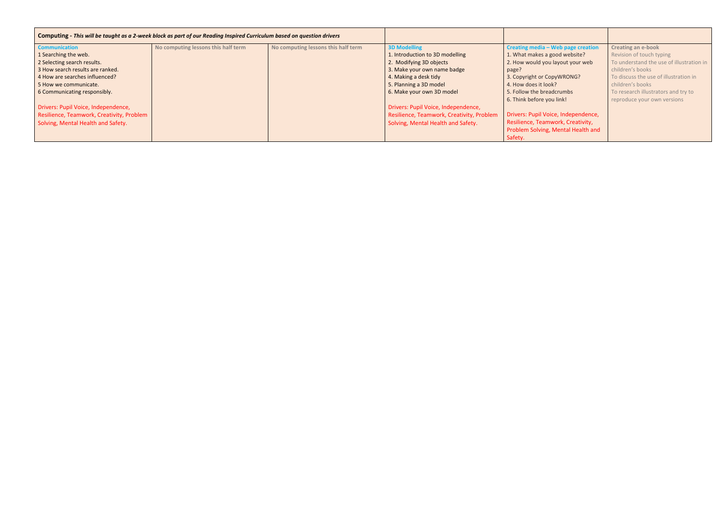| Computing - This will be taught as a 2-week block as part of our Reading Inspired Curriculum based on question drivers |                                     |                                     |                                           |                                     |                                          |
|------------------------------------------------------------------------------------------------------------------------|-------------------------------------|-------------------------------------|-------------------------------------------|-------------------------------------|------------------------------------------|
| <b>Communication</b>                                                                                                   | No computing lessons this half term | No computing lessons this half term | <b>3D Modelling</b>                       | Creating media - Web page creation  | <b>Creating an e-book</b>                |
| 1 Searching the web.                                                                                                   |                                     |                                     | 1. Introduction to 3D modelling           | 1. What makes a good website?       | Revision of touch typing                 |
| 2 Selecting search results.                                                                                            |                                     |                                     | 2. Modifying 3D objects                   | 2. How would you layout your web    | To understand the use of illustration in |
| 3 How search results are ranked.                                                                                       |                                     |                                     | 3. Make your own name badge               | page?                               | children's books                         |
| 4 How are searches influenced?                                                                                         |                                     |                                     | 4. Making a desk tidy                     | 3. Copyright or CopyWRONG?          | To discuss the use of illustration in    |
| 5 How we communicate.                                                                                                  |                                     |                                     | 5. Planning a 3D model                    | 4. How does it look?                | children's books                         |
| 6 Communicating responsibly.                                                                                           |                                     |                                     | 6. Make your own 3D model                 | 5. Follow the breadcrumbs           | To research illustrators and try to      |
|                                                                                                                        |                                     |                                     |                                           | 6. Think before you link!           | reproduce your own versions              |
| Drivers: Pupil Voice, Independence,                                                                                    |                                     |                                     | Drivers: Pupil Voice, Independence,       |                                     |                                          |
| Resilience, Teamwork, Creativity, Problem                                                                              |                                     |                                     | Resilience, Teamwork, Creativity, Problem | Drivers: Pupil Voice, Independence, |                                          |
| Solving, Mental Health and Safety.                                                                                     |                                     |                                     | Solving, Mental Health and Safety.        | Resilience, Teamwork, Creativity,   |                                          |
|                                                                                                                        |                                     |                                     |                                           | Problem Solving, Mental Health and  |                                          |
|                                                                                                                        |                                     |                                     |                                           | Safety.                             |                                          |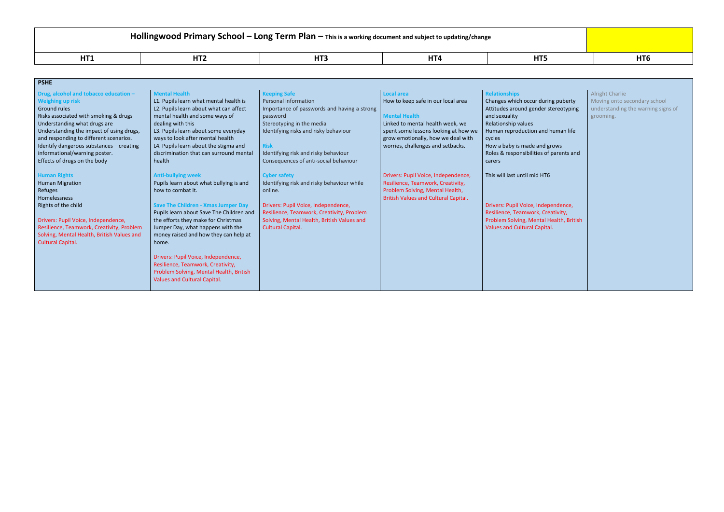## **Hollingwood Primary School – Long Term Plan – This is a working document and subject to updating/change**

| . | .<br>. | $\overline{1}$<br>. | . |  |
|---|--------|---------------------|---|--|

| <b>PSHE</b>                                                                             |                                                                                 |                                                                                         |                                             |                                         |                                    |
|-----------------------------------------------------------------------------------------|---------------------------------------------------------------------------------|-----------------------------------------------------------------------------------------|---------------------------------------------|-----------------------------------------|------------------------------------|
| Drug, alcohol and tobacco education -                                                   | <b>Mental Health</b>                                                            | <b>Keeping Safe</b>                                                                     | <b>Local area</b>                           | <b>Relationships</b>                    | <b>Alright Charlie</b>             |
| <b>Weighing up risk</b>                                                                 | L1. Pupils learn what mental health is                                          | Personal information                                                                    | How to keep safe in our local area          | Changes which occur during puberty      | Moving onto secondary school       |
| Ground rules                                                                            | L2. Pupils learn about what can affect                                          | Importance of passwords and having a strong                                             |                                             | Attitudes around gender stereotyping    | understanding the warning signs of |
| Risks associated with smoking & drugs                                                   | mental health and some ways of                                                  | password                                                                                | <b>Mental Health</b>                        | and sexuality                           | grooming.                          |
| Understanding what drugs are                                                            | dealing with this                                                               | Stereotyping in the media                                                               | Linked to mental health week, we            | Relationship values                     |                                    |
| Understanding the impact of using drugs,                                                | L3. Pupils learn about some everyday                                            | Identifying risks and risky behaviour                                                   | spent some lessons looking at how we        | Human reproduction and human life       |                                    |
| and responding to different scenarios.                                                  | ways to look after mental health                                                |                                                                                         | grow emotionally, how we deal with          | cycles                                  |                                    |
| Identify dangerous substances - creating                                                | L4. Pupils learn about the stigma and                                           | <b>Risk</b>                                                                             | worries, challenges and setbacks.           | How a baby is made and grows            |                                    |
| informational/warning poster.                                                           | discrimination that can surround mental                                         | Identifying risk and risky behaviour                                                    |                                             | Roles & responsibilities of parents and |                                    |
| Effects of drugs on the body                                                            | health                                                                          | Consequences of anti-social behaviour                                                   |                                             | carers                                  |                                    |
|                                                                                         |                                                                                 |                                                                                         |                                             |                                         |                                    |
| <b>Human Rights</b>                                                                     | <b>Anti-bullying week</b>                                                       | <b>Cyber safety</b><br>Identifying risk and risky behaviour while                       | Drivers: Pupil Voice, Independence,         | This will last until mid HT6            |                                    |
| <b>Human Migration</b>                                                                  | Pupils learn about what bullying is and<br>how to combat it.                    |                                                                                         | Resilience, Teamwork, Creativity,           |                                         |                                    |
| Refuges                                                                                 |                                                                                 | online.                                                                                 | Problem Solving, Mental Health,             |                                         |                                    |
| Homelessness                                                                            |                                                                                 |                                                                                         | <b>British Values and Cultural Capital.</b> |                                         |                                    |
| Rights of the child                                                                     | <b>Save The Children - Xmas Jumper Day</b>                                      | Drivers: Pupil Voice, Independence,                                                     |                                             | Drivers: Pupil Voice, Independence,     |                                    |
| Drivers: Pupil Voice, Independence,                                                     | Pupils learn about Save The Children and<br>the efforts they make for Christmas | Resilience, Teamwork, Creativity, Problem<br>Solving, Mental Health, British Values and |                                             | Resilience, Teamwork, Creativity,       |                                    |
|                                                                                         |                                                                                 |                                                                                         |                                             | Problem Solving, Mental Health, British |                                    |
| Resilience, Teamwork, Creativity, Problem<br>Solving, Mental Health, British Values and | Jumper Day, what happens with the<br>money raised and how they can help at      | <b>Cultural Capital.</b>                                                                |                                             | Values and Cultural Capital.            |                                    |
| Cultural Capital.                                                                       | home.                                                                           |                                                                                         |                                             |                                         |                                    |
|                                                                                         |                                                                                 |                                                                                         |                                             |                                         |                                    |
|                                                                                         | Drivers: Pupil Voice, Independence,                                             |                                                                                         |                                             |                                         |                                    |
|                                                                                         | Resilience, Teamwork, Creativity,                                               |                                                                                         |                                             |                                         |                                    |
|                                                                                         | Problem Solving, Mental Health, British                                         |                                                                                         |                                             |                                         |                                    |
|                                                                                         | Values and Cultural Capital.                                                    |                                                                                         |                                             |                                         |                                    |
|                                                                                         |                                                                                 |                                                                                         |                                             |                                         |                                    |
|                                                                                         |                                                                                 |                                                                                         |                                             |                                         |                                    |